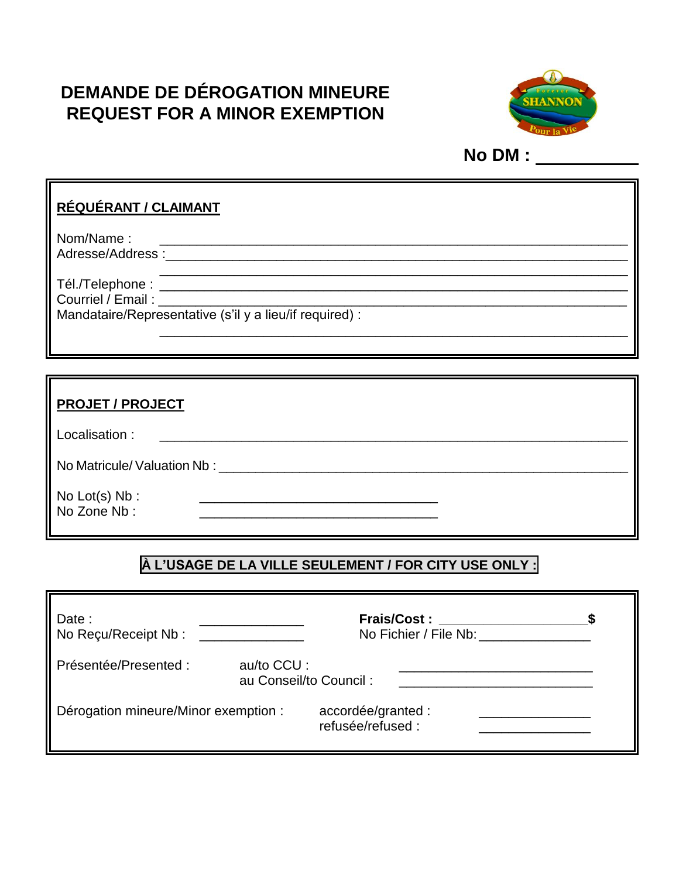# **DEMANDE DE DÉROGATION MINEURE REQUEST FOR A MINOR EXEMPTION**



**No DM :** 

## **RÉQUÉRANT / CLAIMANT**

Nom/Name : \_\_\_\_\_\_\_\_\_\_\_\_\_\_\_\_\_\_\_\_\_\_\_\_\_\_\_\_\_\_\_\_\_\_\_\_\_\_\_\_\_\_\_\_\_\_\_\_\_\_\_\_\_\_\_\_\_\_\_\_\_\_\_ Adresse/Address :\_\_\_\_\_\_\_\_\_\_\_\_\_\_\_\_\_\_\_\_\_\_\_\_\_\_\_\_\_\_\_\_\_\_\_\_\_\_\_\_\_\_\_\_\_\_\_\_\_\_\_\_\_\_\_\_\_\_\_\_\_\_\_

Tél./Telephone : \_\_\_\_\_\_\_\_\_\_\_\_\_\_\_\_\_\_\_\_\_\_\_\_\_\_\_\_\_\_\_\_\_\_\_\_\_\_\_\_\_\_\_\_\_\_\_\_\_\_\_\_\_\_\_\_\_\_\_\_\_\_\_ Courriel / Email :

Mandataire/Representative (s'il y a lieu/if required) :

| <b>PROJET / PROJECT</b>                                                                                                               |
|---------------------------------------------------------------------------------------------------------------------------------------|
| Localisation:<br><u> 1980 - Jan Barbara, maso a popular establecidad e a propinsi a popular establecer a popular establecer a pop</u> |
| No Matricule/Valuation Nb: No Service Service Service Service Service Service Service Service Service Service S                       |
| No $Lot(s)$ Nb :<br>No Zone Nb:                                                                                                       |

\_\_\_\_\_\_\_\_\_\_\_\_\_\_\_\_\_\_\_\_\_\_\_\_\_\_\_\_\_\_\_\_\_\_\_\_\_\_\_\_\_\_\_\_\_\_\_\_\_\_\_\_\_\_\_\_\_\_\_\_\_\_\_

## **À L'USAGE DE LA VILLE SEULEMENT / FOR CITY USE ONLY :**

| Date:<br>No Recu/Receipt Nb:         |                                      | <b>Frais/Cost:</b><br>No Fichier / File Nb: |  |
|--------------------------------------|--------------------------------------|---------------------------------------------|--|
| Présentée/Presented:                 | au/to CCU:<br>au Conseil/to Council: |                                             |  |
| Dérogation mineure/Minor exemption : |                                      | accordée/granted :<br>refusée/refused :     |  |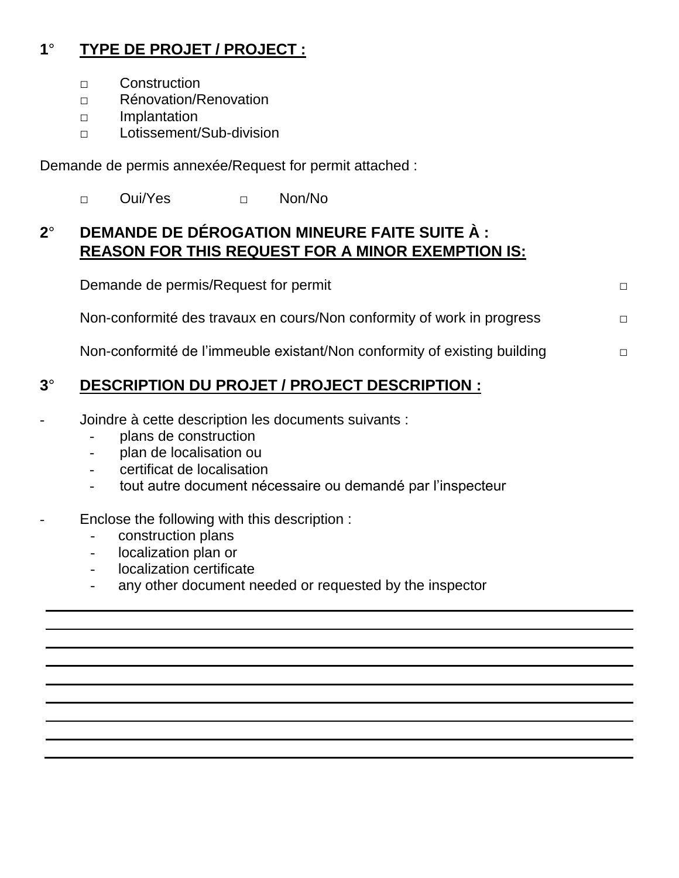## **1**° **TYPE DE PROJET / PROJECT :**

- □ Construction
- □ Rénovation/Renovation
- □ Implantation
- □ Lotissement/Sub-division

Demande de permis annexée/Request for permit attached :

□ Oui/Yes □ Non/No

## **2**° **DEMANDE DE DÉROGATION MINEURE FAITE SUITE À : REASON FOR THIS REQUEST FOR A MINOR EXEMPTION IS:**

| Demande de permis/Request for permit                                      | П.     |
|---------------------------------------------------------------------------|--------|
| Non-conformité des travaux en cours/Non conformity of work in progress    | $\Box$ |
| Non-conformité de l'immeuble existant/Non conformity of existing building | П      |

## **3**° **DESCRIPTION DU PROJET / PROJECT DESCRIPTION :**

- Joindre à cette description les documents suivants :
	- plans de construction
	- plan de localisation ou
	- certificat de localisation
	- tout autre document nécessaire ou demandé par l'inspecteur

#### Enclose the following with this description :

- construction plans
- localization plan or
- localization certificate
- any other document needed or requested by the inspector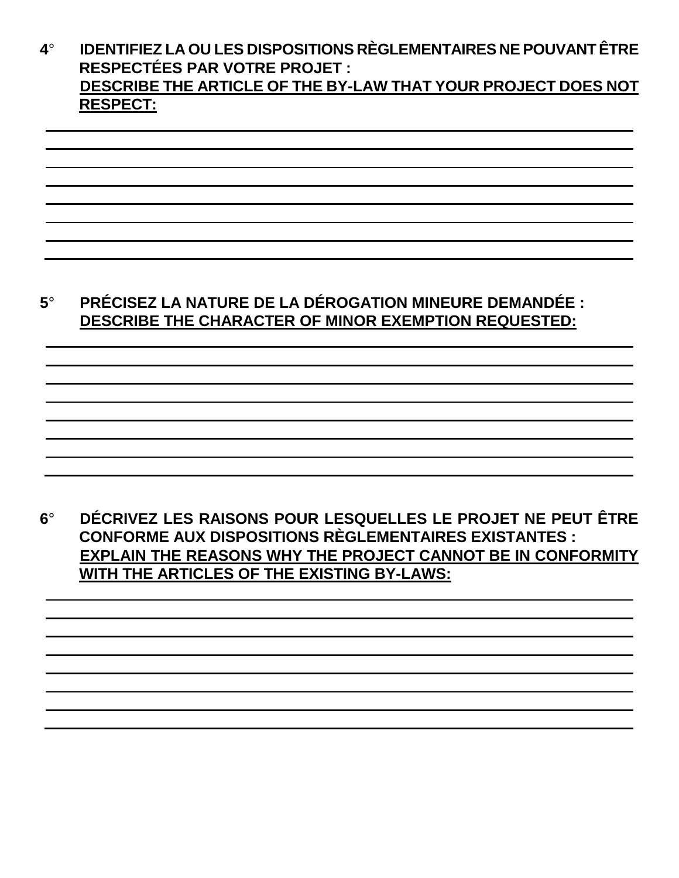### **4**° **IDENTIFIEZ LA OU LES DISPOSITIONS RÈGLEMENTAIRES NE POUVANT ÊTRE RESPECTÉES PAR VOTRE PROJET : DESCRIBE THE ARTICLE OF THE BY-LAW THAT YOUR PROJECT DOES NOT RESPECT:**

## **5**° **PRÉCISEZ LA NATURE DE LA DÉROGATION MINEURE DEMANDÉE : DESCRIBE THE CHARACTER OF MINOR EXEMPTION REQUESTED:**

## **6**° **DÉCRIVEZ LES RAISONS POUR LESQUELLES LE PROJET NE PEUT ÊTRE CONFORME AUX DISPOSITIONS RÈGLEMENTAIRES EXISTANTES : EXPLAIN THE REASONS WHY THE PROJECT CANNOT BE IN CONFORMITY WITH THE ARTICLES OF THE EXISTING BY-LAWS:**